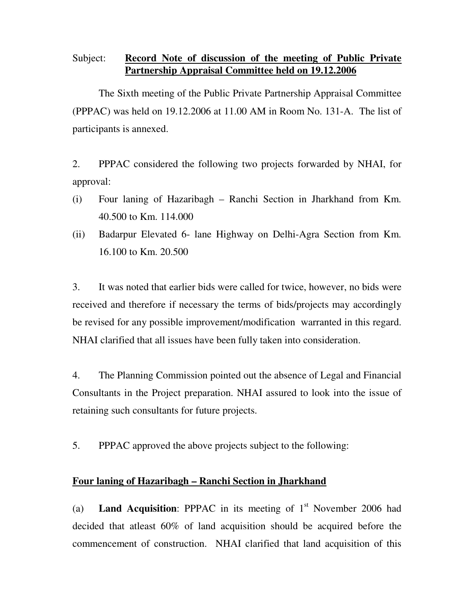## Subject: **Record Note of discussion of the meeting of Public Private Partnership Appraisal Committee held on 19.12.2006**

 The Sixth meeting of the Public Private Partnership Appraisal Committee (PPPAC) was held on 19.12.2006 at 11.00 AM in Room No. 131-A. The list of participants is annexed.

2. PPPAC considered the following two projects forwarded by NHAI, for approval:

- (i) Four laning of Hazaribagh Ranchi Section in Jharkhand from Km. 40.500 to Km. 114.000
- (ii) Badarpur Elevated 6- lane Highway on Delhi-Agra Section from Km. 16.100 to Km. 20.500

3. It was noted that earlier bids were called for twice, however, no bids were received and therefore if necessary the terms of bids/projects may accordingly be revised for any possible improvement/modification warranted in this regard. NHAI clarified that all issues have been fully taken into consideration.

4. The Planning Commission pointed out the absence of Legal and Financial Consultants in the Project preparation. NHAI assured to look into the issue of retaining such consultants for future projects.

5. PPPAC approved the above projects subject to the following:

## **Four laning of Hazaribagh – Ranchi Section in Jharkhand**

(a) **Land Acquisition:** PPPAC in its meeting of  $1<sup>st</sup>$  November 2006 had decided that atleast 60% of land acquisition should be acquired before the commencement of construction. NHAI clarified that land acquisition of this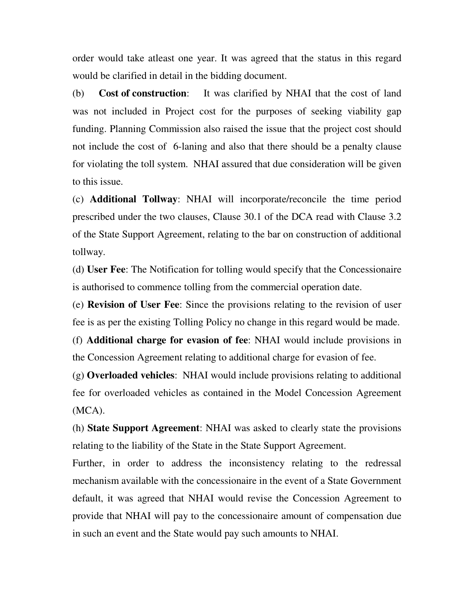order would take atleast one year. It was agreed that the status in this regard would be clarified in detail in the bidding document.

(b) **Cost of construction**: It was clarified by NHAI that the cost of land was not included in Project cost for the purposes of seeking viability gap funding. Planning Commission also raised the issue that the project cost should not include the cost of 6-laning and also that there should be a penalty clause for violating the toll system. NHAI assured that due consideration will be given to this issue.

(c) **Additional Tollway**: NHAI will incorporate/reconcile the time period prescribed under the two clauses, Clause 30.1 of the DCA read with Clause 3.2 of the State Support Agreement, relating to the bar on construction of additional tollway.

(d) **User Fee**: The Notification for tolling would specify that the Concessionaire is authorised to commence tolling from the commercial operation date.

(e) **Revision of User Fee**: Since the provisions relating to the revision of user fee is as per the existing Tolling Policy no change in this regard would be made.

(f) **Additional charge for evasion of fee**: NHAI would include provisions in the Concession Agreement relating to additional charge for evasion of fee.

(g) **Overloaded vehicles**: NHAI would include provisions relating to additional fee for overloaded vehicles as contained in the Model Concession Agreement (MCA).

(h) **State Support Agreement**: NHAI was asked to clearly state the provisions relating to the liability of the State in the State Support Agreement.

Further, in order to address the inconsistency relating to the redressal mechanism available with the concessionaire in the event of a State Government default, it was agreed that NHAI would revise the Concession Agreement to provide that NHAI will pay to the concessionaire amount of compensation due in such an event and the State would pay such amounts to NHAI.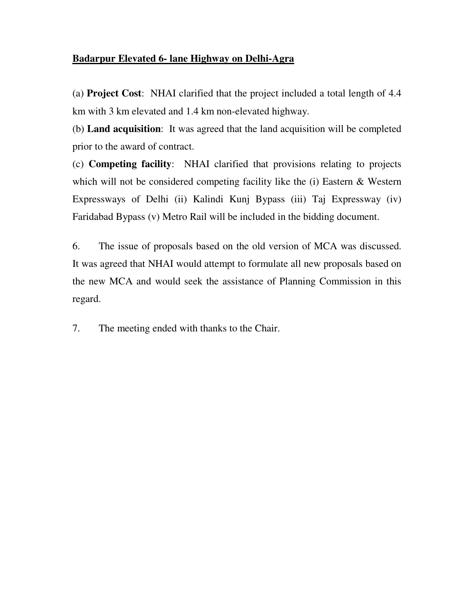## **Badarpur Elevated 6- lane Highway on Delhi-Agra**

(a) **Project Cost**: NHAI clarified that the project included a total length of 4.4 km with 3 km elevated and 1.4 km non-elevated highway.

(b) **Land acquisition**: It was agreed that the land acquisition will be completed prior to the award of contract.

(c) **Competing facility**: NHAI clarified that provisions relating to projects which will not be considered competing facility like the (i) Eastern & Western Expressways of Delhi (ii) Kalindi Kunj Bypass (iii) Taj Expressway (iv) Faridabad Bypass (v) Metro Rail will be included in the bidding document.

6. The issue of proposals based on the old version of MCA was discussed. It was agreed that NHAI would attempt to formulate all new proposals based on the new MCA and would seek the assistance of Planning Commission in this regard.

7. The meeting ended with thanks to the Chair.